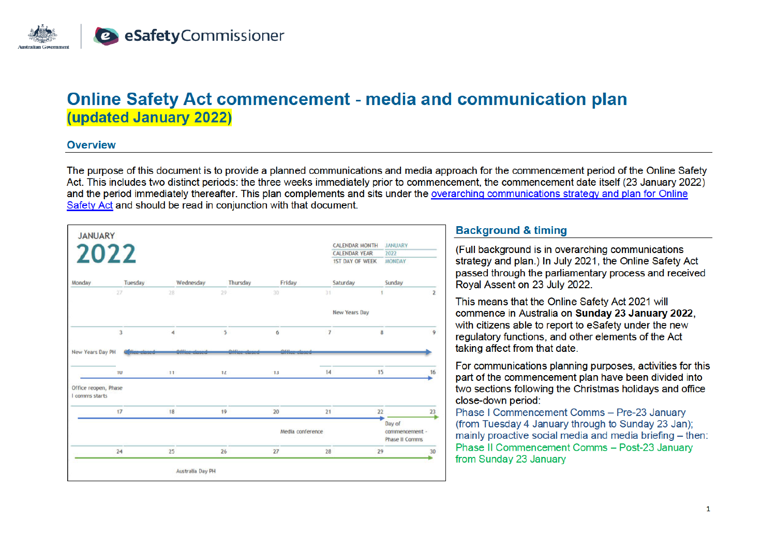

# **Online Safety Act commencement - media and communication plan (updated January 2022)**

#### **Overview**

The purpose of this document is to provide a planned communications and media approach for the commencement period of the Online Safety Act. This includes two distinct periods: the three weeks immediately prior to commencement, the commencement date itself (23 January 2022) and the period immediately thereafter. This plan complements and sits under the overarching communications strategy and plan for Online Safety Act and should be read in conjunction with that document.



# **Background & timing**

(Full background is in overarching communications) strategy and plan.) In July 2021, the Online Safety Act passed through the parliamentary process and received Royal Assent on 23 July 2022.

This means that the Online Safety Act 2021 will commence in Australia on Sunday 23 January 2022. with citizens able to report to eSafety under the new regulatory functions, and other elements of the Act taking affect from that date.

For communications planning purposes, activities for this part of the commencement plan have been divided into two sections following the Christmas holidays and office close-down period:

Phase I Commencement Comms - Pre-23 January (from Tuesday 4 January through to Sunday 23 Jan): mainly proactive social media and media briefing - then: Phase II Commencement Comms - Post-23 January from Sunday 23 January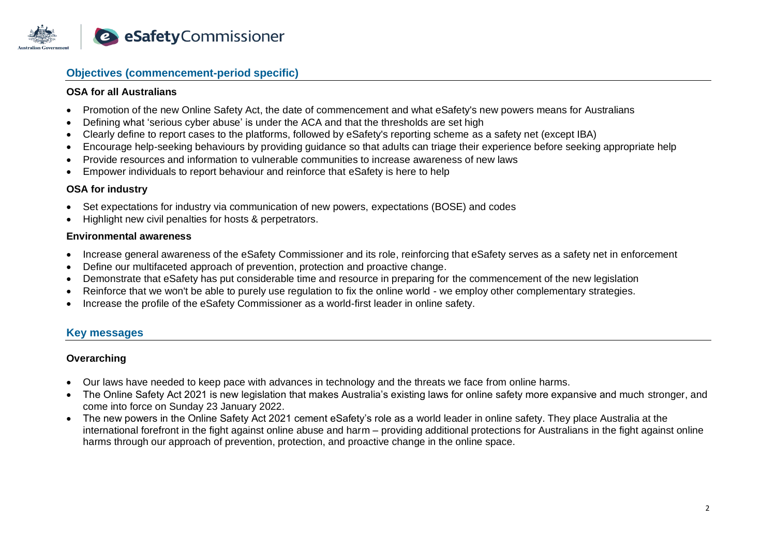

# **Objectives (commencement-period specific)**

#### **OSA for all Australians**

- Promotion of the new Online Safety Act, the date of commencement and what eSafety's new powers means for Australians
- Defining what 'serious cyber abuse' is under the ACA and that the thresholds are set high
- Clearly define to report cases to the platforms, followed by eSafety's reporting scheme as a safety net (except IBA)
- Encourage help-seeking behaviours by providing guidance so that adults can triage their experience before seeking appropriate help
- Provide resources and information to vulnerable communities to increase awareness of new laws
- Empower individuals to report behaviour and reinforce that eSafety is here to help

# **OSA for industry**

- Set expectations for industry via communication of new powers, expectations (BOSE) and codes
- Highlight new civil penalties for hosts & perpetrators.

#### **Environmental awareness**

- Increase general awareness of the eSafety Commissioner and its role, reinforcing that eSafety serves as a safety net in enforcement
- Define our multifaceted approach of prevention, protection and proactive change.
- Demonstrate that eSafety has put considerable time and resource in preparing for the commencement of the new legislation
- Reinforce that we won't be able to purely use regulation to fix the online world we employ other complementary strategies.
- Increase the profile of the eSafety Commissioner as a world-first leader in online safety.

# **Key messages**

# **Overarching**

- Our laws have needed to keep pace with advances in technology and the threats we face from online harms.
- The Online Safety Act 2021 is new legislation that makes Australia's existing laws for online safety more expansive and much stronger, and come into force on Sunday 23 January 2022.
- The new powers in the Online Safety Act 2021 cement eSafety's role as a world leader in online safety. They place Australia at the international forefront in the fight against online abuse and harm – providing additional protections for Australians in the fight against online harms through our approach of prevention, protection, and proactive change in the online space.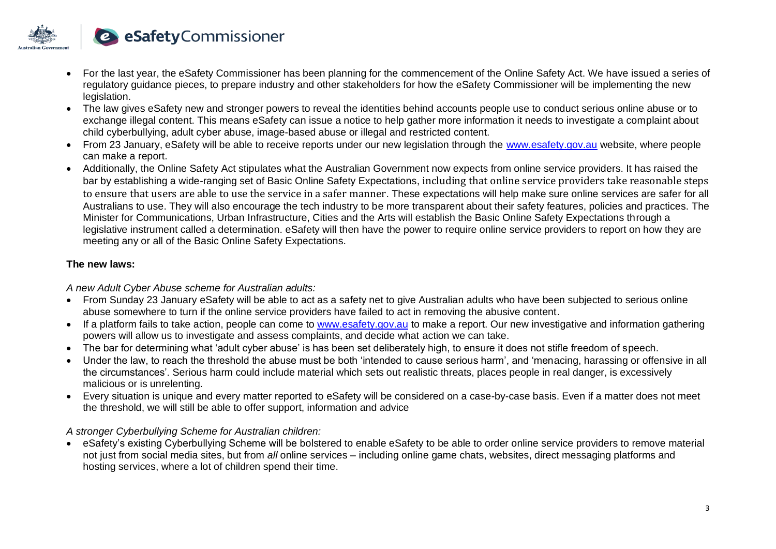

- For the last year, the eSafety Commissioner has been planning for the commencement of the Online Safety Act. We have issued a series of regulatory guidance pieces, to prepare industry and other stakeholders for how the eSafety Commissioner will be implementing the new legislation.
- The law gives eSafety new and stronger powers to reveal the identities behind accounts people use to conduct serious online abuse or to exchange illegal content. This means eSafety can issue a notice to help gather more information it needs to investigate a complaint about child cyberbullying, adult cyber abuse, image-based abuse or illegal and restricted content.
- From 23 January, eSafety will be able to receive reports under our new legislation through the www.esafety.gov.au website, where people can make a report.
- Additionally, the Online Safety Act stipulates what the Australian Government now expects from online service providers. It has raised the bar by establishing a wide-ranging set of Basic Online Safety Expectations, including that online service providers take reasonable steps to ensure that users are able to use the service in a safer manner. These expectations will help make sure online services are safer for all Australians to use. They will also encourage the tech industry to be more transparent about their safety features, policies and practices. The Minister for Communications, Urban Infrastructure, Cities and the Arts will establish the Basic Online Safety Expectations through a legislative instrument called a determination. eSafety will then have the power to require online service providers to report on how they are meeting any or all of the Basic Online Safety Expectations.

# **The new laws:**

#### *A new Adult Cyber Abuse scheme for Australian adults:*

- From Sunday 23 January eSafety will be able to act as a safety net to give Australian adults who have been subjected to serious online abuse somewhere to turn if the online service providers have failed to act in removing the abusive content.
- If a platform fails to take action, people can come to www.esafety.gov.au to make a report. Our new investigative and information gathering powers will allow us to investigate and assess complaints, and decide what action we can take.
- The bar for determining what 'adult cyber abuse' is has been set deliberately high, to ensure it does not stifle freedom of speech.
- Under the law, to reach the threshold the abuse must be both 'intended to cause serious harm', and 'menacing, harassing or offensive in all the circumstances'. Serious harm could include material which sets out realistic threats, places people in real danger, is excessively malicious or is unrelenting.
- Every situation is unique and every matter reported to eSafety will be considered on a case-by-case basis. Even if a matter does not meet the threshold, we will still be able to offer support, information and advice

# *A stronger Cyberbullying Scheme for Australian children:*

• eSafety's existing Cyberbullying Scheme will be bolstered to enable eSafety to be able to order online service providers to remove material not just from social media sites, but from *all* online services – including online game chats, websites, direct messaging platforms and hosting services, where a lot of children spend their time.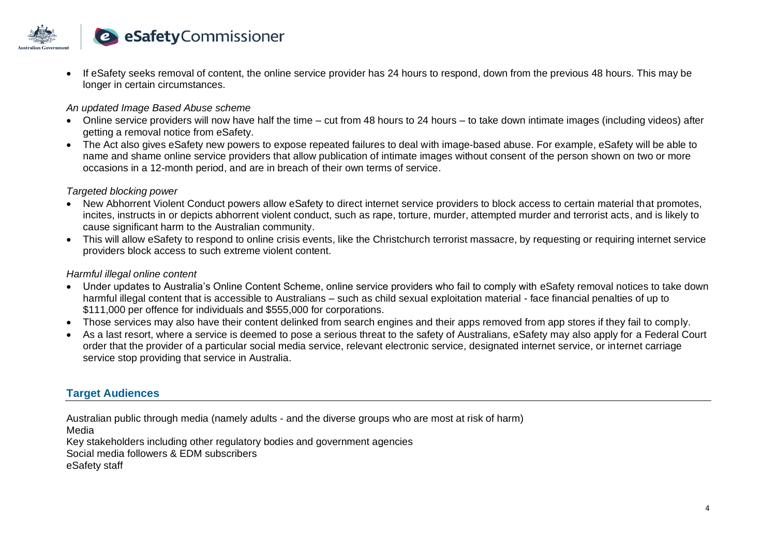

• If eSafety seeks removal of content, the online service provider has 24 hours to respond, down from the previous 48 hours. This may be longer in certain circumstances.

#### *An updated Image Based Abuse scheme*

- Online service providers will now have half the time cut from 48 hours to 24 hours to take down intimate images (including videos) after getting a removal notice from eSafety.
- The Act also gives eSafety new powers to expose repeated failures to deal with image-based abuse. For example, eSafety will be able to name and shame online service providers that allow publication of intimate images without consent of the person shown on two or more occasions in a 12-month period, and are in breach of their own terms of service.

#### *Targeted blocking power*

- New Abhorrent Violent Conduct powers allow eSafety to direct internet service providers to block access to certain material that promotes, incites, instructs in or depicts abhorrent violent conduct, such as rape, torture, murder, attempted murder and terrorist acts, and is likely to cause significant harm to the Australian community.
- This will allow eSafety to respond to online crisis events, like the Christchurch terrorist massacre, by requesting or requiring internet service providers block access to such extreme violent content.

#### *Harmful illegal online content*

- Under updates to Australia's Online Content Scheme, online service providers who fail to comply with eSafety removal notices to take down harmful illegal content that is accessible to Australians – such as child sexual exploitation material - face financial penalties of up to \$111,000 per offence for individuals and \$555,000 for corporations.
- Those services may also have their content delinked from search engines and their apps removed from app stores if they fail to comply.
- As a last resort, where a service is deemed to pose a serious threat to the safety of Australians, eSafety may also apply for a Federal Court order that the provider of a particular social media service, relevant electronic service, designated internet service, or internet carriage service stop providing that service in Australia.

# **Target Audiences**

Australian public through media (namely adults - and the diverse groups who are most at risk of harm)

Media

Key stakeholders including other regulatory bodies and government agencies

Social media followers & EDM subscribers

eSafety staff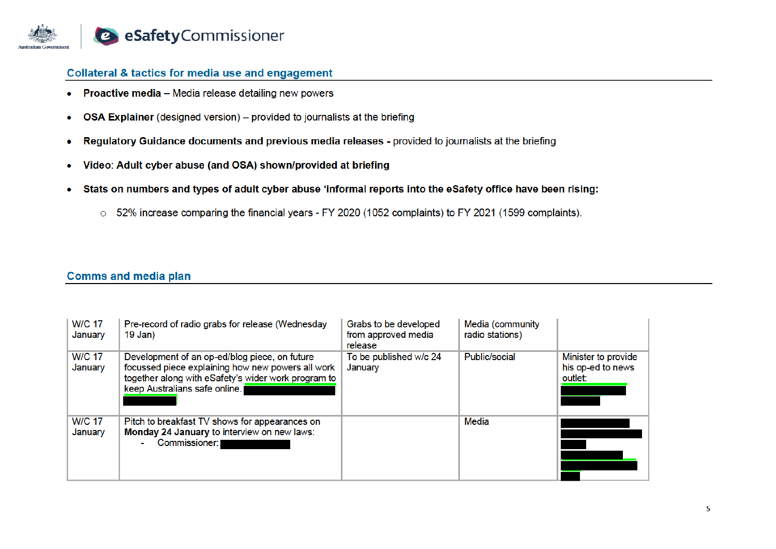

#### **Collateral & tactics for media use and engagement**

- Proactive media Media release detailing new powers  $\bullet$
- OSA Explainer (designed version) provided to journalists at the briefing  $\bullet$
- Regulatory Guidance documents and previous media releases provided to journalists at the briefing  $\bullet$
- Video: Adult cyber abuse (and OSA) shown/provided at briefing  $\bullet$
- Stats on numbers and types of adult cyber abuse 'informal reports into the eSafety office have been rising:  $\bullet$ 
	- 52% increase comparing the financial years FY 2020 (1052 complaints) to FY 2021 (1599 complaints).

#### **Comms and media plan**

| <b>W/C 17</b><br>January | Pre-record of radio grabs for release (Wednesday<br>19 Jan)                                                                                                                                | Grabs to be developed<br>from approved media<br>release | Media (community<br>radio stations) |                                                     |
|--------------------------|--------------------------------------------------------------------------------------------------------------------------------------------------------------------------------------------|---------------------------------------------------------|-------------------------------------|-----------------------------------------------------|
| <b>W/C 17</b><br>January | Development of an op-ed/blog piece, on future<br>focussed piece explaining how new powers all work<br>together along with eSafety's wider work program to<br>keep Australians safe online. | To be published w/c 24<br>January                       | Public/social                       | Minister to provide<br>his op-ed to news<br>outlet: |
| <b>W/C 17</b><br>January | Pitch to breakfast TV shows for appearances on<br>Monday 24 January to interview on new laws:<br>Commissioner:                                                                             |                                                         | Media                               |                                                     |